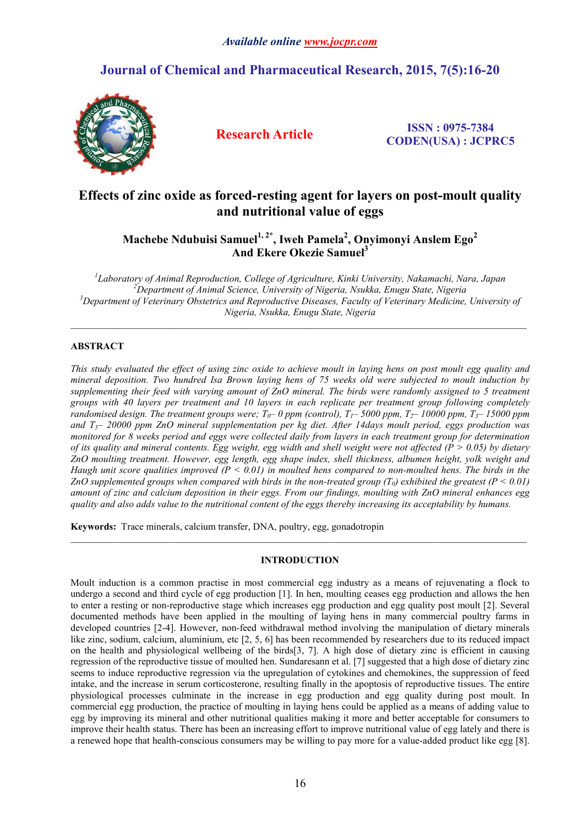# **Journal of Chemical and Pharmaceutical Research, 2015, 7(5):16-20**



**Research Article ISSN : 0975-7384 CODEN(USA) : JCPRC5**

## **Effects of zinc oxide as forced-resting agent for layers on post-moult quality and nutritional value of eggs**

**Machebe Ndubuisi Samuel1, 2\* , Iweh Pamela2 , Onyimonyi Anslem Ego<sup>2</sup> And Ekere Okezie Samuel3**

*1 Laboratory of Animal Reproduction, College of Agriculture, Kinki University, Nakamachi, Nara, Japan <sup>2</sup> Department of Animal Science, University of Nigeria, Nsukka, Enugu State, Nigeria 3 Department of Veterinary Obstetrics and Reproductive Diseases, Faculty of Veterinary Medicine, University of Nigeria, Nsukka, Enugu State, Nigeria*

 $\_$  ,  $\_$  ,  $\_$  ,  $\_$  ,  $\_$  ,  $\_$  ,  $\_$  ,  $\_$  ,  $\_$  ,  $\_$  ,  $\_$  ,  $\_$  ,  $\_$  ,  $\_$  ,  $\_$  ,  $\_$  ,  $\_$  ,  $\_$  ,  $\_$  ,  $\_$  ,  $\_$  ,  $\_$  ,  $\_$  ,  $\_$  ,  $\_$  ,  $\_$  ,  $\_$  ,  $\_$  ,  $\_$  ,  $\_$  ,  $\_$  ,  $\_$  ,  $\_$  ,  $\_$  ,  $\_$  ,  $\_$  ,  $\_$  ,

## **ABSTRACT**

*This study evaluated the effect of using zinc oxide to achieve moult in laying hens on post moult egg quality and mineral deposition. Two hundred Isa Brown laying hens of 75 weeks old were subjected to moult induction by supplementing their feed with varying amount of ZnO mineral. The birds were randomly assigned to 5 treatment groups with 40 layers per treatment and 10 layers in each replicate per treatment group following completely randomised design. The treatment groups were;*  $T_0$ – 0 *ppm (control),*  $T_1$ –5000 *ppm,*  $T_2$ –10000 *ppm,*  $T_3$ –15000 *ppm and T5– 20000 ppm ZnO mineral supplementation per kg diet. After 14days moult period, eggs production was monitored for 8 weeks period and eggs were collected daily from layers in each treatment group for determination of its quality and mineral contents. Egg weight, egg width and shell weight were not affected (P > 0.05) by dietary ZnO moulting treatment. However, egg length, egg shape index, shell thickness, albumen height, yolk weight and Haugh unit score qualities improved (P < 0.01) in moulted hens compared to non-moulted hens. The birds in the ZnO* supplemented groups when compared with birds in the non-treated group  $(T_0)$  exhibited the greatest  $(P \le 0.01)$ *amount of zinc and calcium deposition in their eggs. From our findings, moulting with ZnO mineral enhances egg quality and also adds value to the nutritional content of the eggs thereby increasing its acceptability by humans.*

**Keywords:** Trace minerals, calcium transfer, DNA, poultry, egg, gonadotropin

## **INTRODUCTION**

 $\_$  ,  $\_$  ,  $\_$  ,  $\_$  ,  $\_$  ,  $\_$  ,  $\_$  ,  $\_$  ,  $\_$  ,  $\_$  ,  $\_$  ,  $\_$  ,  $\_$  ,  $\_$  ,  $\_$  ,  $\_$  ,  $\_$  ,  $\_$  ,  $\_$  ,  $\_$  ,  $\_$  ,  $\_$  ,  $\_$  ,  $\_$  ,  $\_$  ,  $\_$  ,  $\_$  ,  $\_$  ,  $\_$  ,  $\_$  ,  $\_$  ,  $\_$  ,  $\_$  ,  $\_$  ,  $\_$  ,  $\_$  ,  $\_$  ,

Moult induction is a common practise in most commercial egg industry as a means of rejuvenating a flock to undergo a second and third cycle of egg production [1]. In hen, moulting ceases egg production and allows the hen to enter a resting or non-reproductive stage which increases egg production and egg quality post moult [2]. Several documented methods have been applied in the moulting of laying hens in many commercial poultry farms in developed countries [2-4]. However, non-feed withdrawal method involving the manipulation of dietary minerals like zinc, sodium, calcium, aluminium, etc [2, 5, 6] has been recommended by researchers due to its reduced impact on the health and physiological wellbeing of the birds[3, 7]. A high dose of dietary zinc is efficient in causing regression of the reproductive tissue of moulted hen. Sundaresann et al. [7] suggested that a high dose of dietary zinc seems to induce reproductive regression via the upregulation of cytokines and chemokines, the suppression of feed intake, and the increase in serum corticosterone, resulting finally in the apoptosis of reproductive tissues. The entire physiological processes culminate in the increase in egg production and egg quality during post moult. In commercial egg production, the practice of moulting in laying hens could be applied as a means of adding value to egg by improving its mineral and other nutritional qualities making it more and better acceptable for consumers to improve their health status. There has been an increasing effort to improve nutritional value of egg lately and there is a renewed hope that health-conscious consumers may be willing to pay more for a value-added product like egg [8].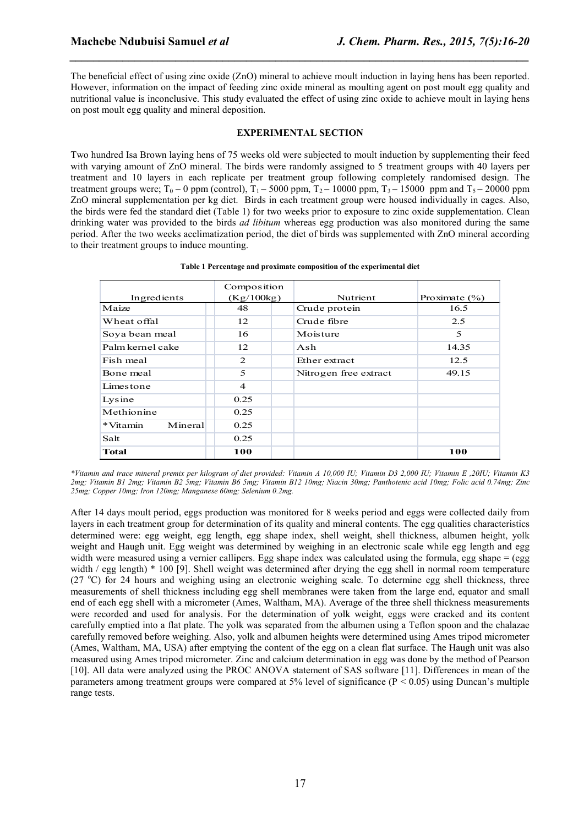The beneficial effect of using zinc oxide (ZnO) mineral to achieve moult induction in laying hens has been reported. However, information on the impact of feeding zinc oxide mineral as moulting agent on post moult egg quality and nutritional value is inconclusive. This study evaluated the effect of using zinc oxide to achieve moult in laying hens on post moult egg quality and mineral deposition.

*\_\_\_\_\_\_\_\_\_\_\_\_\_\_\_\_\_\_\_\_\_\_\_\_\_\_\_\_\_\_\_\_\_\_\_\_\_\_\_\_\_\_\_\_\_\_\_\_\_\_\_\_\_\_\_\_\_\_\_\_\_\_\_\_\_\_\_\_\_\_\_\_\_\_\_\_\_\_*

### **EXPERIMENTAL SECTION**

Two hundred Isa Brown laying hens of 75 weeks old were subjected to moult induction by supplementing their feed with varying amount of ZnO mineral. The birds were randomly assigned to 5 treatment groups with 40 layers per treatment and 10 layers in each replicate per treatment group following completely randomised design. The treatment groups were;  $T_0$  – 0 ppm (control),  $T_1$  – 5000 ppm,  $T_2$  – 10000 ppm,  $T_3$  – 15000 ppm and  $T_5$  – 20000 ppm ZnO mineral supplementation per kg diet. Birds in each treatment group were housed individually in cages. Also, the birds were fed the standard diet (Table 1) for two weeks prior to exposure to zinc oxide supplementation. Clean drinking water was provided to the birds *ad libitum* whereas egg production was also monitored during the same period. After the two weeks acclimatization period, the diet of birds was supplemented with ZnO mineral according to their treatment groups to induce mounting.

|                     | Composition    |                       |                   |
|---------------------|----------------|-----------------------|-------------------|
| Ingredients         | (Kg/100kg)     | Nutrient              | Proximate $(\% )$ |
| Maize               | 48             | Crude protein         | 16.5              |
| Wheat offal         | 12             | Crude fibre           | 2.5               |
| Soya bean meal      | 16             | Moisture              | 5                 |
| Palm kernel cake    | 12             | Ash                   | 14.35             |
| Fish meal           | 2              | Ether extract         | 12.5              |
| Bone meal           | 5              | Nitrogen free extract | 49.15             |
| Limestone           | $\overline{4}$ |                       |                   |
| Lysine              | 0.25           |                       |                   |
| Methionine          | 0.25           |                       |                   |
| *Vitamin<br>Mineral | 0.25           |                       |                   |
| Salt                | 0.25           |                       |                   |
| <b>Total</b>        | 100            |                       | 100               |

| Table 1 Percentage and proximate composition of the experimental diet |  |  |  |
|-----------------------------------------------------------------------|--|--|--|
|                                                                       |  |  |  |

*\*Vitamin and trace mineral premix per kilogram of diet provided: Vitamin A 10,000 IU; Vitamin D3 2,000 IU; Vitamin E ,20IU; Vitamin K3 2mg; Vitamin B1 2mg; Vitamin B2 5mg; Vitamin B6 5mg; Vitamin B12 10mg; Niacin 30mg; Panthotenic acid 10mg; Folic acid 0.74mg; Zinc 25mg; Copper 10mg; Iron 120mg; Manganese 60mg; Selenium 0.2mg.*

After 14 days moult period, eggs production was monitored for 8 weeks period and eggs were collected daily from layers in each treatment group for determination of its quality and mineral contents. The egg qualities characteristics determined were: egg weight, egg length, egg shape index, shell weight, shell thickness, albumen height, yolk weight and Haugh unit. Egg weight was determined by weighing in an electronic scale while egg length and egg width were measured using a vernier callipers. Egg shape index was calculated using the formula, egg shape = (egg width / egg length) \* 100 [9]. Shell weight was determined after drying the egg shell in normal room temperature (27 °C) for 24 hours and weighing using an electronic weighing scale. To determine egg shell thickness, three measurements of shell thickness including egg shell membranes were taken from the large end, equator and small end of each egg shell with a micrometer (Ames, Waltham, MA). Average of the three shell thickness measurements were recorded and used for analysis. For the determination of yolk weight, eggs were cracked and its content carefully emptied into a flat plate. The yolk was separated from the albumen using a Teflon spoon and the chalazae carefully removed before weighing. Also, yolk and albumen heights were determined using Ames tripod micrometer (Ames, Waltham, MA, USA) after emptying the content of the egg on a clean flat surface. The Haugh unit was also measured using Ames tripod micrometer. Zinc and calcium determination in egg was done by the method of Pearson [10]. All data were analyzed using the PROC ANOVA statement of SAS software [11]. Differences in mean of the parameters among treatment groups were compared at 5% level of significance  $(P < 0.05)$  using Duncan's multiple range tests.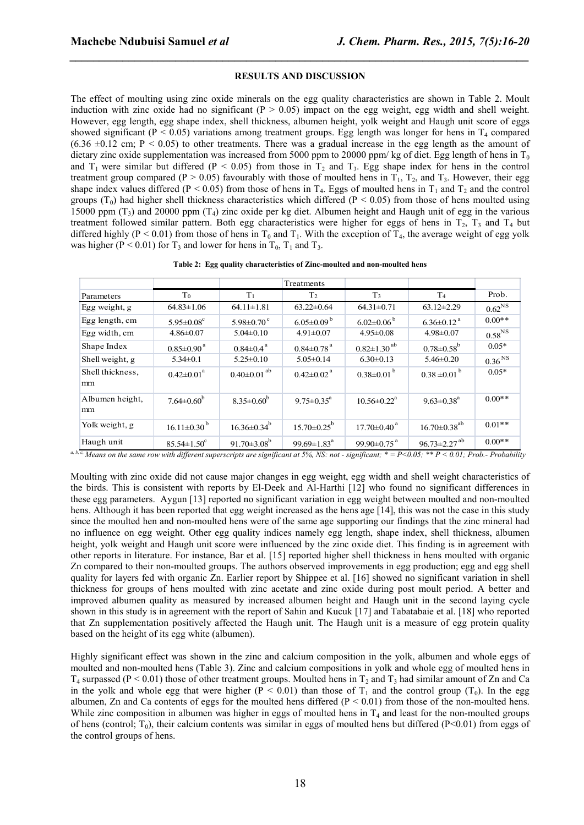#### **RESULTS AND DISCUSSION**

*\_\_\_\_\_\_\_\_\_\_\_\_\_\_\_\_\_\_\_\_\_\_\_\_\_\_\_\_\_\_\_\_\_\_\_\_\_\_\_\_\_\_\_\_\_\_\_\_\_\_\_\_\_\_\_\_\_\_\_\_\_\_\_\_\_\_\_\_\_\_\_\_\_\_\_\_\_\_*

The effect of moulting using zinc oxide minerals on the egg quality characteristics are shown in Table 2. Moult induction with zinc oxide had no significant ( $P > 0.05$ ) impact on the egg weight, egg width and shell weight. However, egg length, egg shape index, shell thickness, albumen height, yolk weight and Haugh unit score of eggs showed significant ( $P < 0.05$ ) variations among treatment groups. Egg length was longer for hens in  $T_4$  compared  $(6.36 \pm 0.12 \text{ cm}; P < 0.05)$  to other treatments. There was a gradual increase in the egg length as the amount of dietary zinc oxide supplementation was increased from 5000 ppm to 20000 ppm/ kg of diet. Egg length of hens in  $T_0$ and  $T_1$  were similar but differed (P < 0.05) from those in  $T_2$  and  $T_3$ . Egg shape index for hens in the control treatment group compared (P > 0.05) favourably with those of moulted hens in  $T_1$ ,  $T_2$ , and  $T_3$ . However, their egg shape index values differed (P < 0.05) from those of hens in  $T_4$ . Eggs of moulted hens in  $T_1$  and  $T_2$  and the control groups (T<sub>0</sub>) had higher shell thickness characteristics which differed (P < 0.05) from those of hens moulted using 15000 ppm  $(T_3)$  and 20000 ppm  $(T_4)$  zinc oxide per kg diet. Albumen height and Haugh unit of egg in the various treatment followed similar pattern. Both egg characteristics were higher for eggs of hens in  $T_2$ ,  $T_3$  and  $T_4$  but differed highly (P < 0.01) from those of hens in  $T_0$  and  $T_1$ . With the exception of  $T_4$ , the average weight of egg yolk was higher ( $P < 0.01$ ) for T<sub>3</sub> and lower for hens in T<sub>0</sub>, T<sub>1</sub> and T<sub>3</sub>.

|  |  |  |  | Table 2: Egg quality characteristics of Zinc-moulted and non-moulted hens |
|--|--|--|--|---------------------------------------------------------------------------|
|--|--|--|--|---------------------------------------------------------------------------|

|                        |                              |                               | Treatments                    |                               |                                |                    |
|------------------------|------------------------------|-------------------------------|-------------------------------|-------------------------------|--------------------------------|--------------------|
| Parameters             | T <sub>0</sub>               | T <sub>1</sub>                | T <sub>2</sub>                | T <sub>3</sub>                | T <sub>4</sub>                 | Prob.              |
| Egg weight, g          | $64.83 \pm 1.06$             | $64.11 \pm 1.81$              | $63.22 \pm 0.64$              | $64.31 \pm 0.71$              | $63.12 \pm 2.29$               | 0.62 <sup>NS</sup> |
| Egg length, cm         | $5.95 \pm 0.08$ <sup>c</sup> | $5.98 \pm 0.70$ <sup>c</sup>  | $6.05 \pm 0.09$ <sup>b</sup>  | $6.02 \pm 0.06^{b}$           | $6.36 \pm 0.12$ <sup>a</sup>   | $0.00**$           |
| Egg width, cm          | $4.86 \pm 0.07$              | $5.04 \pm 0.10$               | $4.91 \pm 0.07$               | $4.95 \pm 0.08$               | $4.98 \pm 0.07$                | 0.58 <sup>NS</sup> |
| Shape Index            | $0.85 \pm 0.90$ <sup>a</sup> | $0.84 \pm 0.4$ <sup>a</sup>   | $0.84 \pm 0.78$ <sup>a</sup>  | $0.82 \pm 1.30$ <sup>ab</sup> | $0.78 \pm 0.58$ <sup>b</sup>   | $0.05*$            |
| Shell weight, g        | $5.34 \pm 0.1$               | $5.25 \pm 0.10$               | $5.05 \pm 0.14$               | $6.30 \pm 0.13$               | $5.46 \pm 0.20$                | 0.36 <sup>NS</sup> |
| Shell thickness,<br>mm | $0.42 \pm 0.01^a$            | $0.40 \pm 0.01$ <sup>ab</sup> | $0.42 \pm 0.02$ <sup>a</sup>  | $0.38 \pm 0.01^{b}$           | $0.38 \pm 0.01^{b}$            | $0.05*$            |
| Albumen height,<br>mm  | $7.64 \pm 0.60^{\mathrm{b}}$ | $8.35 \pm 0.60^b$             | $9.75 \pm 0.35^a$             | $10.56 \pm 0.22^{\text{a}}$   | $9.63 \pm 0.38$ <sup>a</sup>   | $0.00**$           |
| Yolk weight, g         | $16.11 \pm 0.30^{b}$         | $16.36 \pm 0.34^b$            | $15.70 \pm 0.25^{\rm b}$      | $17.70 \pm 0.40$ <sup>a</sup> | $16.70 \pm 0.38$ <sup>ab</sup> | $0.01**$           |
| Haugh unit             | $85.54 \pm 1.50^c$           | 91.70 $\pm$ 3.08 <sup>b</sup> | 99.69 $\pm$ 1.83 <sup>a</sup> | 99.90 $\pm$ 0.75 $^{a}$       | $96.73 \pm 2.27$ <sup>ab</sup> | $0.00**$           |

*a, b, c, Means on the same row with different superscripts are significant at 5%, NS: not - significant; \* = P<0.05; \*\* P < 0.01; Prob.- Probability*

Moulting with zinc oxide did not cause major changes in egg weight, egg width and shell weight characteristics of the birds. This is consistent with reports by El-Deek and Al-Harthi [12] who found no significant differences in these egg parameters. Aygun [13] reported no significant variation in egg weight between moulted and non-moulted hens. Although it has been reported that egg weight increased as the hens age [14], this was not the case in this study since the moulted hen and non-moulted hens were of the same age supporting our findings that the zinc mineral had no influence on egg weight. Other egg quality indices namely egg length, shape index, shell thickness, albumen height, yolk weight and Haugh unit score were influenced by the zinc oxide diet. This finding is in agreement with other reports in literature. For instance, Bar et al. [15] reported higher shell thickness in hens moulted with organic Zn compared to their non-moulted groups. The authors observed improvements in egg production; egg and egg shell quality for layers fed with organic Zn. Earlier report by Shippee et al. [16] showed no significant variation in shell thickness for groups of hens moulted with zinc acetate and zinc oxide during post moult period. A better and improved albumen quality as measured by increased albumen height and Haugh unit in the second laying cycle shown in this study is in agreement with the report of Sahin and Kucuk [17] and Tabatabaie et al. [18] who reported that Zn supplementation positively affected the Haugh unit. The Haugh unit is a measure of egg protein quality based on the height of its egg white (albumen).

Highly significant effect was shown in the zinc and calcium composition in the yolk, albumen and whole eggs of moulted and non-moulted hens (Table 3). Zinc and calcium compositions in yolk and whole egg of moulted hens in  $T_4$  surpassed (P < 0.01) those of other treatment groups. Moulted hens in  $T_2$  and  $T_3$  had similar amount of Zn and Ca in the yolk and whole egg that were higher ( $P < 0.01$ ) than those of T<sub>1</sub> and the control group (T<sub>0</sub>). In the egg albumen, Zn and Ca contents of eggs for the moulted hens differed  $(P < 0.01)$  from those of the non-moulted hens. While zinc composition in albumen was higher in eggs of moulted hens in  $T_4$  and least for the non-moulted groups of hens (control; T<sub>0</sub>), their calcium contents was similar in eggs of moulted hens but differed (P<0.01) from eggs of the control groups of hens.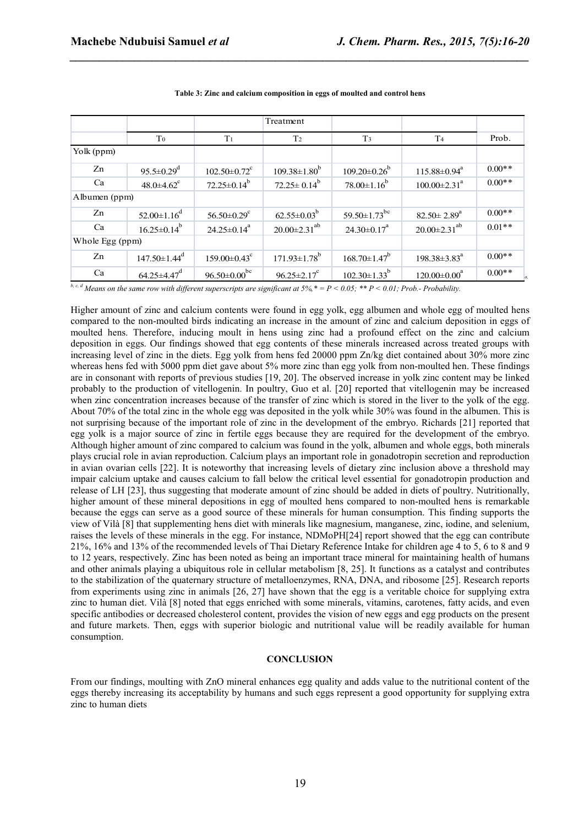|                 |                                |                                | Treatment                      |                                |                                |          |
|-----------------|--------------------------------|--------------------------------|--------------------------------|--------------------------------|--------------------------------|----------|
|                 | T <sub>0</sub>                 | T <sub>1</sub>                 | T <sub>2</sub>                 | T <sub>3</sub>                 | T <sub>4</sub>                 | Prob.    |
| Yolk (ppm)      |                                |                                |                                |                                |                                |          |
| Zn              | $95.5 \pm 0.29$ <sup>d</sup>   | $102.50 \pm 0.72$ <sup>c</sup> | $109.38 \pm 1.80^{b}$          | $109.20 \pm 0.26^b$            | $115.88 \pm 0.94^a$            | $0.00**$ |
| Ca              | $48.0 \pm 4.62$ <sup>c</sup>   | $72.25 \pm 0.14^b$             | $72.25 \pm 0.14^b$             | $78.00 \pm 1.16^b$             | $100.00 \pm 2.31$ <sup>a</sup> | $0.00**$ |
| Albumen (ppm)   |                                |                                |                                |                                |                                |          |
| Zn              | $52.00 \pm 1.16^d$             | 56.50 $\pm$ 0.29 <sup>c</sup>  | $62.55 \pm 0.03^b$             | 59.50 $\pm$ 1.73 <sup>bc</sup> | $82.50 \pm 2.89^a$             | $0.00**$ |
| Ca              | $16.25 \pm 0.14^b$             | $24.25 \pm 0.14^a$             | $20.00 \pm 2.31^{ab}$          | $24.30 \pm 0.17^a$             | $20.00 \pm 2.31^{ab}$          | $0.01**$ |
| Whole Egg (ppm) |                                |                                |                                |                                |                                |          |
| Zn              | $147.50 \pm 1.44$ <sup>d</sup> | $159.00 \pm 0.43$ <sup>c</sup> | $171.93 \pm 1.78$ <sup>b</sup> | $168.70 \pm 1.47^b$            | $198.38 \pm 3.83$ <sup>a</sup> | $0.00**$ |
| Ca              | $64.25 \pm 4.47$ <sup>d</sup>  | $96.50 \pm 0.00$ <sup>bc</sup> | $96.25 \pm 2.17^c$             | $102.30 \pm 1.33^{b}$          | $120.00 \pm 0.00^a$            | $0.00**$ |

**Table 3: Zinc and calcium composition in eggs of moulted and control hens**

*\_\_\_\_\_\_\_\_\_\_\_\_\_\_\_\_\_\_\_\_\_\_\_\_\_\_\_\_\_\_\_\_\_\_\_\_\_\_\_\_\_\_\_\_\_\_\_\_\_\_\_\_\_\_\_\_\_\_\_\_\_\_\_\_\_\_\_\_\_\_\_\_\_\_\_\_\_\_*

*b, c, d Means on the same row with different superscripts are significant at 5%,\* = P < 0.05; \*\* P < 0.01; Prob.- Probability.*

Higher amount of zinc and calcium contents were found in egg yolk, egg albumen and whole egg of moulted hens compared to the non-moulted birds indicating an increase in the amount of zinc and calcium deposition in eggs of moulted hens. Therefore, inducing moult in hens using zinc had a profound effect on the zinc and calcium deposition in eggs. Our findings showed that egg contents of these minerals increased across treated groups with increasing level of zinc in the diets. Egg yolk from hens fed 20000 ppm Zn/kg diet contained about 30% more zinc whereas hens fed with 5000 ppm diet gave about 5% more zinc than egg yolk from non-moulted hen. These findings are in consonant with reports of previous studies [19, 20]. The observed increase in yolk zinc content may be linked probably to the production of vitellogenin. In poultry, Guo et al. [20] reported that vitellogenin may be increased when zinc concentration increases because of the transfer of zinc which is stored in the liver to the yolk of the egg. About 70% of the total zinc in the whole egg was deposited in the yolk while 30% was found in the albumen. This is not surprising because of the important role of zinc in the development of the embryo. Richards [21] reported that egg yolk is a major source of zinc in fertile eggs because they are required for the development of the embryo. Although higher amount of zinc compared to calcium was found in the yolk, albumen and whole eggs, both minerals plays crucial role in avian reproduction. Calcium plays an important role in gonadotropin secretion and reproduction in avian ovarian cells [22]. It is noteworthy that increasing levels of dietary zinc inclusion above a threshold may impair calcium uptake and causes calcium to fall below the critical level essential for gonadotropin production and release of LH [23], thus suggesting that moderate amount of zinc should be added in diets of poultry. Nutritionally, higher amount of these mineral depositions in egg of moulted hens compared to non-moulted hens is remarkable because the eggs can serve as a good source of these minerals for human consumption. This finding supports the view of Vilà [8] that supplementing hens diet with minerals like magnesium, manganese, zinc, iodine, and selenium, raises the levels of these minerals in the egg. For instance, NDMoPH[24] report showed that the egg can contribute 21%, 16% and 13% of the recommended levels of Thai Dietary Reference Intake for children age 4 to 5, 6 to 8 and 9 to 12 years, respectively. Zinc has been noted as being an important trace mineral for maintaining health of humans and other animals playing a ubiquitous role in cellular metabolism [8, 25]. It functions as a catalyst and contributes to the stabilization of the quaternary structure of metalloenzymes, RNA, DNA, and ribosome [25]. Research reports from experiments using zinc in animals [26, 27] have shown that the egg is a veritable choice for supplying extra zinc to human diet. Vilà [8] noted that eggs enriched with some minerals, vitamins, carotenes, fatty acids, and even specific antibodies or decreased cholesterol content, provides the vision of new eggs and egg products on the present and future markets. Then, eggs with superior biologic and nutritional value will be readily available for human consumption.

### **CONCLUSION**

From our findings, moulting with ZnO mineral enhances egg quality and adds value to the nutritional content of the eggs thereby increasing its acceptability by humans and such eggs represent a good opportunity for supplying extra zinc to human diets